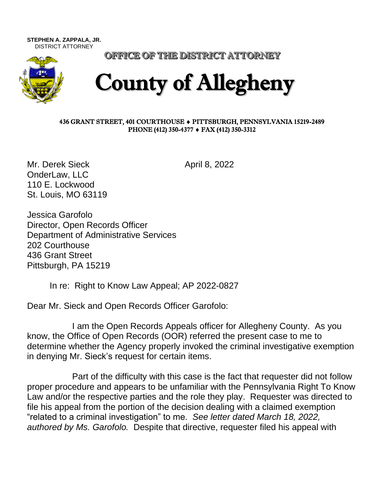**STEPHEN A. ZAPPALA, JR.**  DISTRICT ATTORNEY



OFFICE OF THE DISTRICT ATTORNEY

## County of Allegheny

## 436 GRANT STREET, 401 COURTHOUSE PITTSBURGH, PENNSYLVANIA 15219-2489 PHONE (412) 350-4377 ♦ FAX (412) 350-3312

Mr. Derek Sieck April 8, 2022 OnderLaw, LLC 110 E. Lockwood St. Louis, MO 63119

Jessica Garofolo Director, Open Records Officer Department of Administrative Services 202 Courthouse 436 Grant Street Pittsburgh, PA 15219

In re: Right to Know Law Appeal; AP 2022-0827

Dear Mr. Sieck and Open Records Officer Garofolo:

I am the Open Records Appeals officer for Allegheny County. As you know, the Office of Open Records (OOR) referred the present case to me to determine whether the Agency properly invoked the criminal investigative exemption in denying Mr. Sieck's request for certain items.

Part of the difficulty with this case is the fact that requester did not follow proper procedure and appears to be unfamiliar with the Pennsylvania Right To Know Law and/or the respective parties and the role they play. Requester was directed to file his appeal from the portion of the decision dealing with a claimed exemption "related to a criminal investigation" to me. *See letter dated March 18, 2022, authored by Ms. Garofolo.* Despite that directive, requester filed his appeal with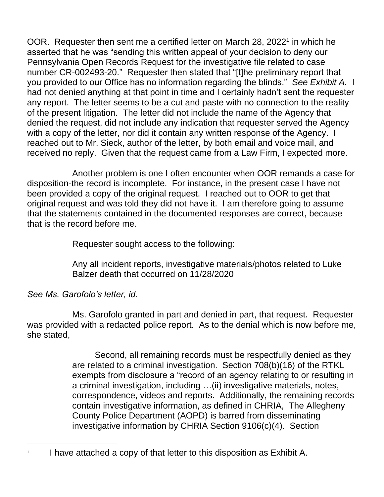OOR. Requester then sent me a certified letter on March 28, 2022<sup>1</sup> in which he asserted that he was "sending this written appeal of your decision to deny our Pennsylvania Open Records Request for the investigative file related to case number CR-002493-20." Requester then stated that "[t]he preliminary report that you provided to our Office has no information regarding the blinds." *See Exhibit A.* I had not denied anything at that point in time and I certainly hadn't sent the requester any report. The letter seems to be a cut and paste with no connection to the reality of the present litigation. The letter did not include the name of the Agency that denied the request, did not include any indication that requester served the Agency with a copy of the letter, nor did it contain any written response of the Agency. I reached out to Mr. Sieck, author of the letter, by both email and voice mail, and received no reply. Given that the request came from a Law Firm, I expected more.

Another problem is one I often encounter when OOR remands a case for disposition-the record is incomplete. For instance, in the present case I have not been provided a copy of the original request. I reached out to OOR to get that original request and was told they did not have it. I am therefore going to assume that the statements contained in the documented responses are correct, because that is the record before me.

Requester sought access to the following:

Any all incident reports, investigative materials/photos related to Luke Balzer death that occurred on 11/28/2020

## *See Ms. Garofolo's letter, id.*

Ms. Garofolo granted in part and denied in part, that request. Requester was provided with a redacted police report. As to the denial which is now before me, she stated,

> Second, all remaining records must be respectfully denied as they are related to a criminal investigation. Section 708(b)(16) of the RTKL exempts from disclosure a "record of an agency relating to or resulting in a criminal investigation, including …(ii) investigative materials, notes, correspondence, videos and reports. Additionally, the remaining records contain investigative information, as defined in CHRIA, The Allegheny County Police Department (AOPD) is barred from disseminating investigative information by CHRIA Section 9106(c)(4). Section

<sup>1</sup> I have attached a copy of that letter to this disposition as Exhibit A.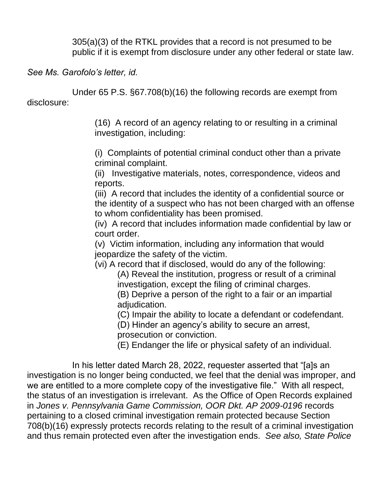305(a)(3) of the RTKL provides that a record is not presumed to be public if it is exempt from disclosure under any other federal or state law.

*See Ms. Garofolo's letter, id.*

Under 65 P.S. §67.708(b)(16) the following records are exempt from disclosure:

> (16) A record of an agency relating to or resulting in a criminal investigation, including:

(i) Complaints of potential criminal conduct other than a private criminal complaint.

(ii) Investigative materials, notes, correspondence, videos and reports.

(iii) A record that includes the identity of a confidential source or the identity of a suspect who has not been charged with an offense to whom confidentiality has been promised.

(iv) A record that includes information made confidential by law or court order.

(v) Victim information, including any information that would jeopardize the safety of the victim.

(vi) A record that if disclosed, would do any of the following:

(A) Reveal the institution, progress or result of a criminal investigation, except the filing of criminal charges.

(B) Deprive a person of the right to a fair or an impartial adjudication.

(C) Impair the ability to locate a defendant or codefendant.

(D) Hinder an agency's ability to secure an arrest,

prosecution or conviction.

(E) Endanger the life or physical safety of an individual.

In his letter dated March 28, 2022, requester asserted that "[a]s an investigation is no longer being conducted, we feel that the denial was improper, and we are entitled to a more complete copy of the investigative file." With all respect, the status of an investigation is irrelevant. As the Office of Open Records explained in *Jones v. Pennsylvania Game Commission, OOR Dkt. AP 2009-0196* records pertaining to a closed criminal investigation remain protected because Section 708(b)(16) expressly protects records relating to the result of a criminal investigation and thus remain protected even after the investigation ends. *See also, State Police*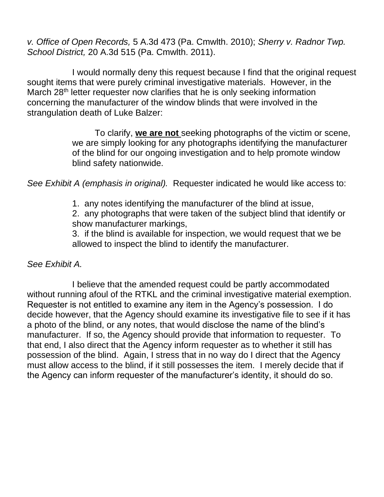*v. Office of Open Records,* 5 A.3d 473 (Pa. Cmwlth. 2010); *Sherry v. Radnor Twp. School District,* 20 A.3d 515 (Pa. Cmwlth. 2011).

I would normally deny this request because I find that the original request sought items that were purely criminal investigative materials. However, in the March 28<sup>th</sup> letter requester now clarifies that he is only seeking information concerning the manufacturer of the window blinds that were involved in the strangulation death of Luke Balzer:

> To clarify, **we are not** seeking photographs of the victim or scene, we are simply looking for any photographs identifying the manufacturer of the blind for our ongoing investigation and to help promote window blind safety nationwide.

*See Exhibit A (emphasis in original).* Requester indicated he would like access to:

1. any notes identifying the manufacturer of the blind at issue,

2. any photographs that were taken of the subject blind that identify or show manufacturer markings,

3. if the blind is available for inspection, we would request that we be allowed to inspect the blind to identify the manufacturer.

## *See Exhibit A.*

I believe that the amended request could be partly accommodated without running afoul of the RTKL and the criminal investigative material exemption. Requester is not entitled to examine any item in the Agency's possession. I do decide however, that the Agency should examine its investigative file to see if it has a photo of the blind, or any notes, that would disclose the name of the blind's manufacturer. If so, the Agency should provide that information to requester. To that end, I also direct that the Agency inform requester as to whether it still has possession of the blind. Again, I stress that in no way do I direct that the Agency must allow access to the blind, if it still possesses the item. I merely decide that if the Agency can inform requester of the manufacturer's identity, it should do so.